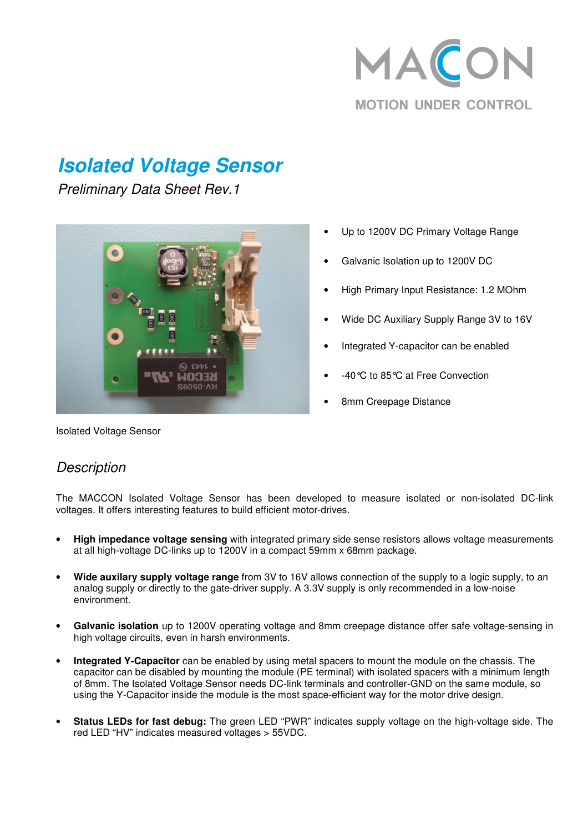

# **Isolated Voltage Sensor**

Preliminary Data Sheet Rev.1



- Up to 1200V DC Primary Voltage Range
- Galvanic Isolation up to 1200V DC
- High Primary Input Resistance: 1.2 MOhm
- Wide DC Auxiliary Supply Range 3V to 16V
- Integrated Y-capacitor can be enabled
- -40°C to 85°C at Free Convection
- 8mm Creepage Distance

Isolated Voltage Sensor

#### **Description**

The MACCON Isolated Voltage Sensor has been developed to measure isolated or non-isolated DC-link voltages. It offers interesting features to build efficient motor-drives.

- **High impedance voltage sensing** with integrated primary side sense resistors allows voltage measurements at all high-voltage DC-links up to 1200V in a compact 59mm x 68mm package.
- **Wide auxilary supply voltage range** from 3V to 16V allows connection of the supply to a logic supply, to an analog supply or directly to the gate-driver supply. A 3.3V supply is only recommended in a low-noise environment.
- **Galvanic isolation** up to 1200V operating voltage and 8mm creepage distance offer safe voltage-sensing in high voltage circuits, even in harsh environments.
- **Integrated Y-Capacitor** can be enabled by using metal spacers to mount the module on the chassis. The capacitor can be disabled by mounting the module (PE terminal) with isolated spacers with a minimum length of 8mm. The Isolated Voltage Sensor needs DC-link terminals and controller-GND on the same module, so using the Y-Capacitor inside the module is the most space-efficient way for the motor drive design.
- **Status LEDs for fast debug:** The green LED "PWR" indicates supply voltage on the high-voltage side. The red LED "HV" indicates measured voltages > 55VDC.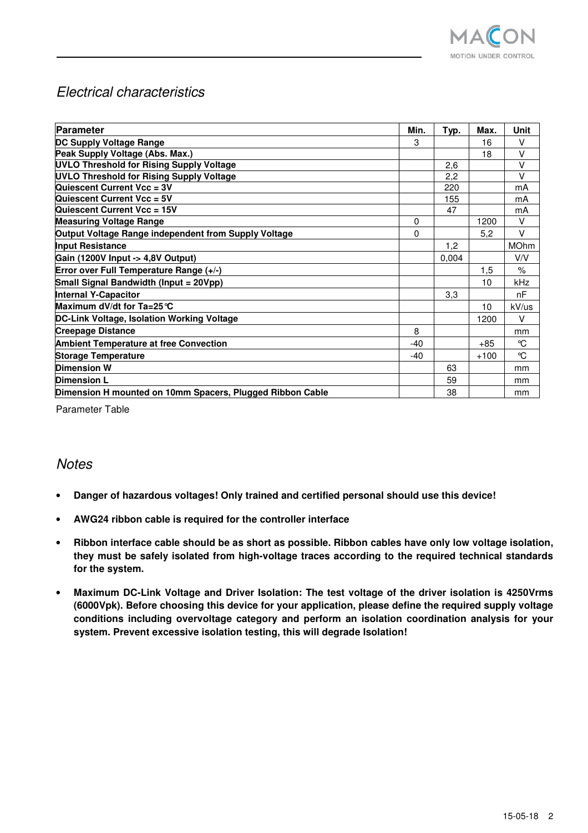

### Electrical characteristics

| Parameter                                                 | Min.  | Typ.  | Max.   | <b>Unit</b>   |
|-----------------------------------------------------------|-------|-------|--------|---------------|
| DC Supply Voltage Range                                   | 3     |       | 16     | V             |
| Peak Supply Voltage (Abs. Max.)                           |       |       | 18     | $\vee$        |
| <b>UVLO Threshold for Rising Supply Voltage</b>           |       | 2,6   |        | $\vee$        |
| <b>UVLO Threshold for Rising Supply Voltage</b>           |       | 2,2   |        | $\vee$        |
| Quiescent Current Vcc = 3V                                |       | 220   |        | mA            |
| Quiescent Current Vcc = 5V                                |       | 155   |        | mA            |
| Quiescent Current Vcc = 15V                               |       | 47    |        | mA            |
| <b>Measuring Voltage Range</b>                            | 0     |       | 1200   | $\vee$        |
| Output Voltage Range independent from Supply Voltage      | 0     |       | 5,2    | $\vee$        |
| <b>Input Resistance</b>                                   |       | 1,2   |        | <b>MOhm</b>   |
| Gain (1200V Input -> 4,8V Output)                         |       | 0,004 |        | V/V           |
| Error over Full Temperature Range (+/-)                   |       |       | 1,5    | $\frac{9}{6}$ |
| Small Signal Bandwidth (Input = 20Vpp)                    |       |       | 10     | kHz           |
| <b>Internal Y-Capacitor</b>                               |       | 3,3   |        | nF            |
| Maximum dV/dt for $Ta = 25^\circ C$                       |       |       | 10     | kV/us         |
| DC-Link Voltage, Isolation Working Voltage                |       |       | 1200   | V             |
| <b>Creepage Distance</b>                                  | 8     |       |        | mm            |
| <b>Ambient Temperature at free Convection</b>             | $-40$ |       | $+85$  | °C            |
| <b>Storage Temperature</b>                                | $-40$ |       | $+100$ | $\mathcal{C}$ |
| <b>Dimension W</b>                                        |       | 63    |        | mm            |
| <b>Dimension L</b>                                        |       | 59    |        | mm            |
| Dimension H mounted on 10mm Spacers, Plugged Ribbon Cable |       | 38    |        | mm            |

Parameter Table

#### **Notes**

- **Danger of hazardous voltages! Only trained and certified personal should use this device!**
- **AWG24 ribbon cable is required for the controller interface**
- **Ribbon interface cable should be as short as possible. Ribbon cables have only low voltage isolation, they must be safely isolated from high-voltage traces according to the required technical standards for the system.**
- **Maximum DC-Link Voltage and Driver Isolation: The test voltage of the driver isolation is 4250Vrms (6000Vpk). Before choosing this device for your application, please define the required supply voltage conditions including overvoltage category and perform an isolation coordination analysis for your system. Prevent excessive isolation testing, this will degrade Isolation!**